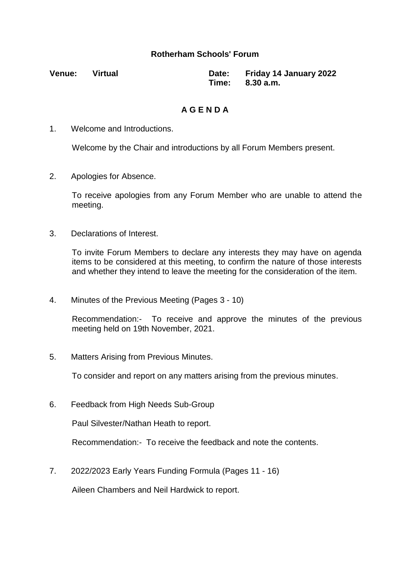## **Rotherham Schools' Forum**

**Venue: Virtual Date: Friday 14 January 2022 Time: 8.30 a.m.**

## **A G E N D A**

1. Welcome and Introductions.

Welcome by the Chair and introductions by all Forum Members present.

2. Apologies for Absence.

To receive apologies from any Forum Member who are unable to attend the meeting.

3. Declarations of Interest.

To invite Forum Members to declare any interests they may have on agenda items to be considered at this meeting, to confirm the nature of those interests and whether they intend to leave the meeting for the consideration of the item.

4. Minutes of the Previous Meeting (Pages 3 - 10)

Recommendation:- To receive and approve the minutes of the previous meeting held on 19th November, 2021.

5. Matters Arising from Previous Minutes.

To consider and report on any matters arising from the previous minutes.

6. Feedback from High Needs Sub-Group

Paul Silvester/Nathan Heath to report.

Recommendation:- To receive the feedback and note the contents.

7. 2022/2023 Early Years Funding Formula (Pages 11 - 16)

Aileen Chambers and Neil Hardwick to report.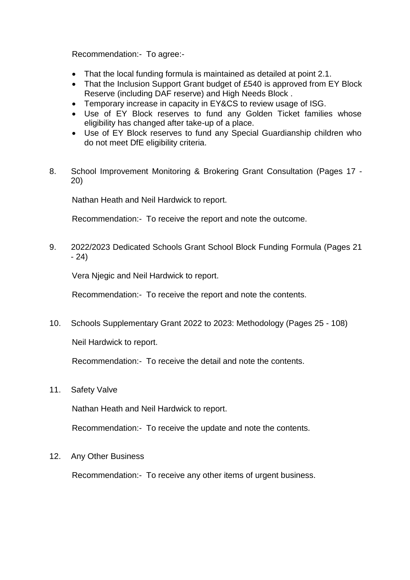Recommendation:- To agree:-

- That the local funding formula is maintained as detailed at point 2.1.
- That the Inclusion Support Grant budget of £540 is approved from EY Block Reserve (including DAF reserve) and High Needs Block .
- Temporary increase in capacity in EY&CS to review usage of ISG.
- Use of EY Block reserves to fund any Golden Ticket families whose eligibility has changed after take-up of a place.
- Use of EY Block reserves to fund any Special Guardianship children who do not meet DfE eligibility criteria.
- 8. School Improvement Monitoring & Brokering Grant Consultation (Pages 17 20)

Nathan Heath and Neil Hardwick to report.

Recommendation:- To receive the report and note the outcome.

9. 2022/2023 Dedicated Schools Grant School Block Funding Formula (Pages 21 - 24)

Vera Njegic and Neil Hardwick to report.

Recommendation:- To receive the report and note the contents.

10. Schools Supplementary Grant 2022 to 2023: Methodology (Pages 25 - 108)

Neil Hardwick to report.

Recommendation:- To receive the detail and note the contents.

11. Safety Valve

Nathan Heath and Neil Hardwick to report.

Recommendation:- To receive the update and note the contents.

12. Any Other Business

Recommendation:- To receive any other items of urgent business.